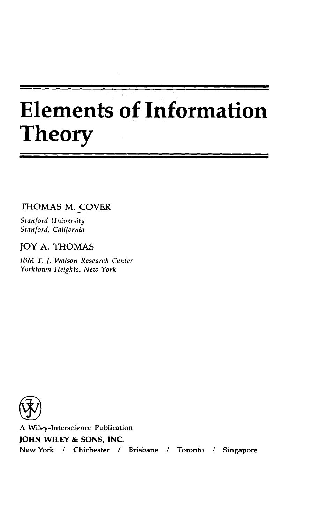# **Elements of Information Theory**

THOMAS M. COVER

Stanford University Stanford, California

JOY A. THOMAS

IBM T. J. Watson Research Center Yorktown Heights, New York



A Wiley-Interscience Publication JOHN WILEY & SONS, INC. New York / Chichester / Brisbane / Toronto / Singapore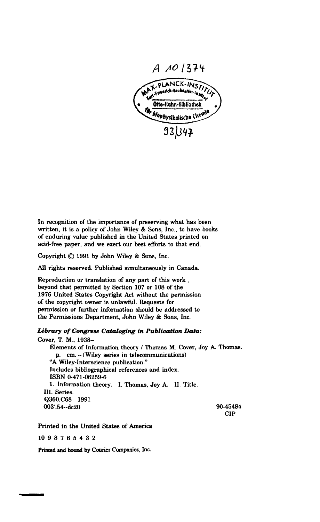

In recognition of the importance of preserving what has been written, it is a policy of John Wiley & Sons, Inc., to have books of enduring value published in the United States printed on acid-free paper, and we exert our best efforts to that end.

Copyright (C) 1991 by John Wiley & Sons, Inc.

All rights reserved. Published simultaneously in Canada.

Reproduction or translation of any part of this work, beyond that permitted by Section 107 or 108 of the 1976 United States Copyright Act without the permission of the copyright owner is unlawful. Requests for permission or further information should be addressed to the Permissions Department, John Wiley & Sons, Inc.

### Library of Congress Cataloging in Publication Data:

Cover. T. M., 1938-Elements of Information theory / Thomas M. Cover, Joy A. Thomas. p. cm. -- (Wiley series in telecommunications) "A Wiley-Interscience publication." Includes bibliographical references and index. ISBN 0-471-06259-6 1. Information theory. I. Thomas, Joy A. II. Title. III. Series. Q360.C68 1991 003'.54 -- dc20 90-45484 **CIP** 

Printed in the United States of America

1098765432

Printed and bound by Courier Companies, Inc.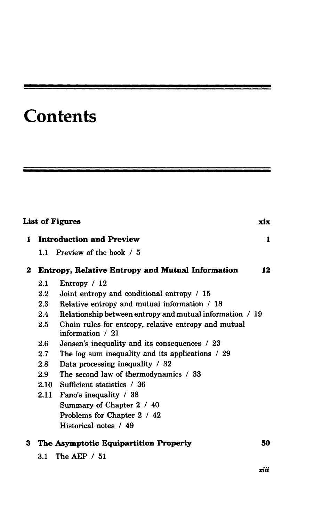## **Contents**

<u> The Company of the Company of the Company of the Company of the Company of the Company of the Company of the Company of the Company of the Company of the Company of the Company of the Company of the Company of the Compan</u>

| <b>List of Figures</b> |                                                         |                                                                           |    |  |
|------------------------|---------------------------------------------------------|---------------------------------------------------------------------------|----|--|
| 1.                     | <b>Introduction and Preview</b>                         |                                                                           |    |  |
|                        |                                                         | 1.1 Preview of the book / 5                                               |    |  |
| $\bf{2}$               | <b>Entropy, Relative Entropy and Mutual Information</b> |                                                                           |    |  |
|                        | 2.1                                                     | Entropy / 12                                                              |    |  |
|                        | $2.2\phantom{0}$                                        | Joint entropy and conditional entropy / 15                                |    |  |
|                        | 2.3                                                     | Relative entropy and mutual information / 18                              |    |  |
|                        | 2.4                                                     | Relationship between entropy and mutual information / 19                  |    |  |
|                        | 2.5                                                     | Chain rules for entropy, relative entropy and mutual<br>information $/21$ |    |  |
|                        | 2.6                                                     | Jensen's inequality and its consequences / 23                             |    |  |
|                        | 2.7                                                     | The log sum inequality and its applications / 29                          |    |  |
|                        | 2.8                                                     | Data processing inequality / 32                                           |    |  |
|                        | 2.9                                                     | The second law of thermodynamics / 33                                     |    |  |
|                        | 2.10                                                    | Sufficient statistics / 36                                                |    |  |
|                        |                                                         | 2.11 Fano's inequality / 38                                               |    |  |
|                        |                                                         | Summary of Chapter 2 / 40                                                 |    |  |
|                        |                                                         | Problems for Chapter 2 / 42                                               |    |  |
|                        |                                                         | Historical notes / 49                                                     |    |  |
| 3                      |                                                         | The Asymptotic Equipartition Property                                     | 50 |  |
|                        |                                                         | 3.1 The AEP / 51                                                          |    |  |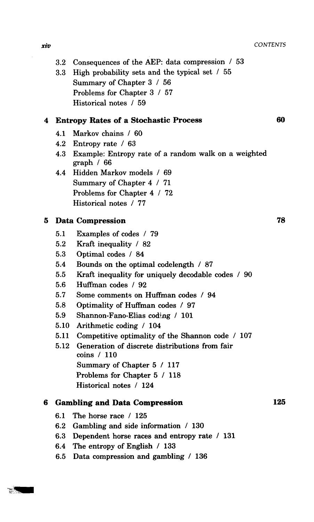- 3.2 Consequences of the AEP: data compression / 53
- 3.3 High probability sets and the typical set / 55 Summary of Chapter 3 / 56 Problems for Chapter 3 / 57 Historical notes / 59

### **4 Entropy Rates of a Stochastic Process 60**

- 4.1 Markov chains / 60
- 4.2 Entropy rate / 63
- 4.3 Example: Entropy rate of a random walk on a weighted graph / 66
- 4.4 Hidden Markov models / 69 Summary of Chapter 4 / 71 Problems for Chapter 4 / 72 Historical notes / 77

### **5 Data Compression 78**

- 5.1 Examples of codes / 79
- 5.2 Kraft inequality / 82
- 5.3 Optimal codes / 84
- 5.4 Bounds on the optimal codelength / 87
- 5.5 Kraft inequality for uniquely decodable codes / 90
- 5.6 Huffman codes / 92
- 5.7 Some comments on Huffman codes / 94
- 5.8 Optimality of Huffman codes / 97
- 5.9 Shannon-Fano-Elias coding / 101
- 5.10 Arithmetic coding / 104
- 5.11 Competitive optimality of the Shannon code / 107
- 5.12 Generation of discrete distributions from fair coins / 110 Summary of Chapter 5 / 117 Problems for Chapter 5 / 118 Historical notes / 124

### **6 Gambling and Data Compression 125**

- 6.1 The horse race  $/125$
- 6.2 Gambling and side information / 130
- 6.3 Dependent horse races and entropy rate  $/131$
- 6.4 **The entropy** of **English** / 133
- 6.5 Data **compression and gambling** / 136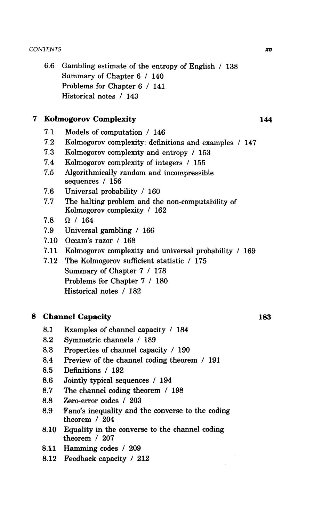6.6 Gambling estimate of the entropy of English / 138 Summary of Chapter 6 / 140 Problems for Chapter 6 / 141 Historical notes / 143

### 7 **Kolmogorov Complexity 144**

- 7.1 Models of computation / 146
- <sup>7</sup> .2 Kolmogorov complexity: definitions and examples / 147
- 7.3 Kolmogorov complexity and entropy / 153
- 7.4 Kolmogorov complexity of integers / 155
- 7.5 Algorithmically random and incompressible sequences / 156
- 7.6 Universal probability / 160
- 7.7 The halting problem and the non-computability of Kolmogorov complexity / 162
- 7.8  $\Omega$  / 164
- <sup>7</sup> .9 Universal gambling / 166
- 7.10 Occam's razor / 168
- <sup>7</sup> .11 Kolmogorov complexity and universal probability / 169
- 7.12 The Kolmogorov sufficient statistic / 175 Summary of Chapter 7 / 178 Problems for Chapter 7 / 180 Historical notes / 182

### **8 Channel Capacity 183**

- 8.1 Examples of channel capacity / 184
- 8.2 Symmetric channels / 189
- 8.3 Properties of channel capacity / 190
- 8.4 Preview of the channel coding theorem / 191
- 8.5 Definitions / 192
- 8.6 Jointly typical sequences / 194
- 8.7 The channel coding theorem / 198
- 8.8 Zero-error codes / 203
- 8.9 Fano's inequality and the converse to the coding theorem / 204
- 8.10 Equality in the converse to the channel coding theorem / 207
- 8.11 Hamming codes / 209
- 8.12 Feedback capacity / 212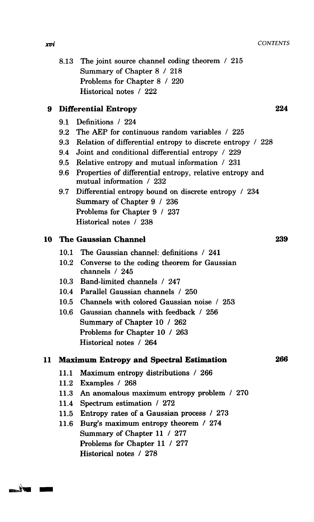8.13 The joint source channel coding theorem / 215 Summary of Chapter 8 / 218 Problems for Chapter 8 / 220 Historical notes / 222

### **9 Differential Entropy 224**

- 9.1 Definitions / 224
- 9.2 The AEP for continuous random variables / 225
- 9.3 Relation of differential entropy to discrete entropy / 228
- 9.4 Joint and conditional differential entropy / 229
- 9.5 Relative entropy and mutual information / 231
- 9.6 Properties of differential entropy, relative entropy and mutual information / 232
- 9.7 Differential entropy bound on discrete entropy / 234 Summary of Chapter 9 / 236 Problems for Chapter 9 / 237 Historical notes / 238

### **10 The Gaussian Channel 239**

- 10.1 The Gaussian channel: definitions / 241
- 10.2 Converse to the coding theorem for Gaussian channels / 245
- 10.3 Band-limited channels / 247
- 10.4 Parallel Gaussian channels / 250
- 10.5 Channels with colored Gaussian noise / 253
- 10.6 Gaussian channels with feedback / 256 Summary of Chapter 10 / 262 Problems for Chapter 10 / 263 Historical notes / 264

### **11 Maximum Entropy and Spectral Estimation 266**

- 11.1 Maximum entropy distributions / 266
- 11.2 Examples / 268
- 11.3 An anomalous maximum entropy problem / 270
- 11.4 Spectrum estimation / 272
- 11.5 **Entropy** rates of a Gaussian **process** / 273
- 11.6 Burg's maximum entropy theorem / 274 Summary of Chapter 11 / 277 Problems for Chapter 11 / 277 Historical notes / 278

xvi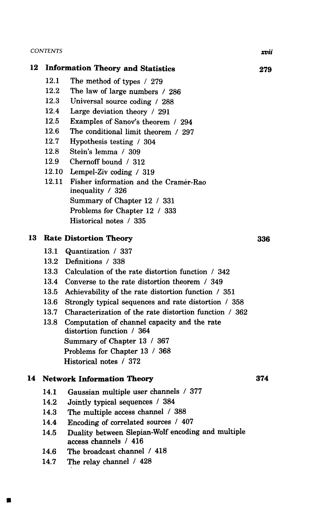$\blacksquare$ 

|    | 12.1                                     |                                                                             |     |
|----|------------------------------------------|-----------------------------------------------------------------------------|-----|
|    |                                          | The method of types / 279                                                   |     |
|    | 12.2                                     | The law of large numbers / 286                                              |     |
|    | 12.3                                     | Universal source coding / 288                                               |     |
|    | 12.4                                     | Large deviation theory / 291                                                |     |
|    | 12.5                                     | Examples of Sanov's theorem / 294                                           |     |
|    | 12.6                                     | The conditional limit theorem / 297                                         |     |
|    | 12.7                                     | Hypothesis testing / 304                                                    |     |
|    | 12.8                                     | Stein's lemma / 309                                                         |     |
|    | 12.9                                     | Chernoff bound / 312                                                        |     |
|    | 12.10                                    | Lempel-Ziv coding / 319                                                     |     |
|    | 12.11                                    | Fisher information and the Cramér-Rao                                       |     |
|    |                                          | inequality / 326                                                            |     |
|    |                                          | Summary of Chapter 12 / 331                                                 |     |
|    |                                          | Problems for Chapter 12 / 333                                               |     |
|    |                                          | Historical notes / 335                                                      |     |
| 13 |                                          | <b>Rate Distortion Theory</b>                                               | 336 |
|    | 13.1                                     | Quantization / 337                                                          |     |
|    |                                          | 13.2 Definitions / 338                                                      |     |
|    |                                          | 13.3 Calculation of the rate distortion function / 342                      |     |
|    | 13.4                                     | Converse to the rate distortion theorem / 349                               |     |
|    | 13.5                                     | Achievability of the rate distortion function / 351                         |     |
|    | 13.6                                     | Strongly typical sequences and rate distortion / 358                        |     |
|    | 13.7                                     | Characterization of the rate distortion function / 362                      |     |
|    | 13.8                                     | Computation of channel capacity and the rate<br>distortion function / 364   |     |
|    |                                          | Summary of Chapter 13 / 367                                                 |     |
|    |                                          | Problems for Chapter 13 / 368                                               |     |
|    |                                          | Historical notes / 372                                                      |     |
| 14 | <b>Network Information Theory</b><br>374 |                                                                             |     |
|    |                                          | 14.1 Gaussian multiple user channels / 377                                  |     |
|    | 14.2                                     | Jointly typical sequences / 384                                             |     |
|    | 14.3                                     | The multiple access channel / 388                                           |     |
|    | 14.4                                     | Encoding of correlated sources / 407                                        |     |
|    | 14.5                                     | Duality between Slepian-Wolf encoding and multiple<br>access channels / 416 |     |
|    | 14.6                                     | The broadcast channel / 418                                                 |     |
|    | 14.7                                     | The relay channel / 428                                                     |     |
|    |                                          |                                                                             |     |

xvii